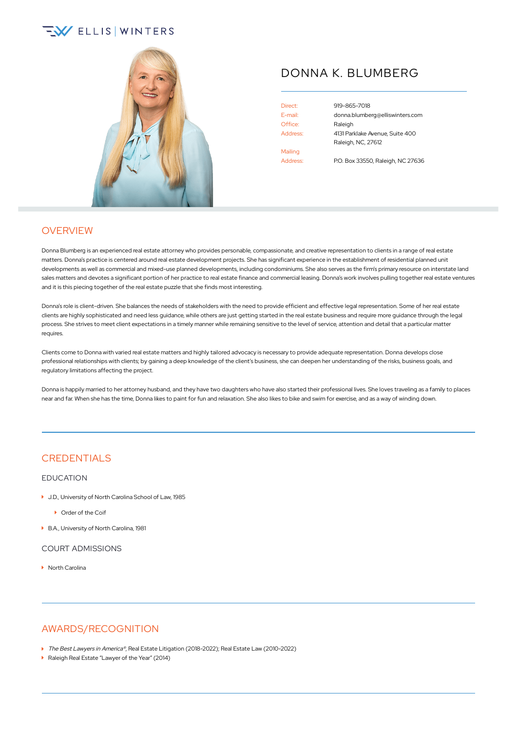# **EV ELLIS WINTERS**



## DONNA K. BLUMBERG

Office: Raleigh Mailing Address: P.O. Box 33550, Raleigh, NC 27636

Direct: [919-865-7018](tel:+1-919-865-7018) E-mail: [donna.blumberg@elliswinters.com](mailto:donna.blumberg@elliswinters.com) Address: 4131 Parklake Avenue, Suite 400 Raleigh, NC, 27612

## **OVERVIEW**

Donna Blumberg is an experienced real estate attorney who provides personable, compassionate, and creative representation to clients in a range of real estate matters. Donna's practice is centered around real estate development projects. She has significant experience in the establishment of residential planned unit developments as well as commercial and mixed-use planned developments, including condominiums. She also serves as the firm's primary resource on interstate land sales matters and devotes a significant portion of her practice to real estate finance and commercial leasing. Donna's work involves pulling together real estate ventures and it is this piecing together of the real estate puzzle that she finds most interesting.

Donna's role is client-driven. She balances the needs of stakeholders with the need to provide efficient and effective legal representation. Some of her real estate clients are highly sophisticated and need less guidance, while others are just getting started in the real estate business and require more guidance through the legal process. She strives to meet client expectations in a timely manner while remaining sensitive to the level of service, attention and detail that a particular matter requires.

Clients come to Donna with varied real estate matters and highly tailored advocacy is necessary to provide adequate representation. Donna develops close professional relationships with clients; by gaining a deep knowledge of the client's business, she can deepen her understanding of the risks, business goals, and regulatory limitations affecting the project.

Donna is happily married to her attorney husband, and they have two daughters who have also started their professional lives. She loves traveling as a family to places near and far. When she has the time, Donna likes to paint for fun and relaxation. She also likes to bike and swim for exercise, and as a way of winding down.

## **CREDENTIALS**

#### EDUCATION

- ▶ J.D., University of North Carolina School of Law, 1985
	- **Comment** Order of the Coif
- ▶ B.A., University of North Carolina, 1981

COURT ADMISSIONS

▶ North Carolina

### AWARDS/RECOGNITION

- ▶ The Best Lawyers in America®, Real Estate Litigation (2018-2022); Real Estate Law (2010-2022)
- ▶ Raleigh Real Estate "Lawyer of the Year" (2014)